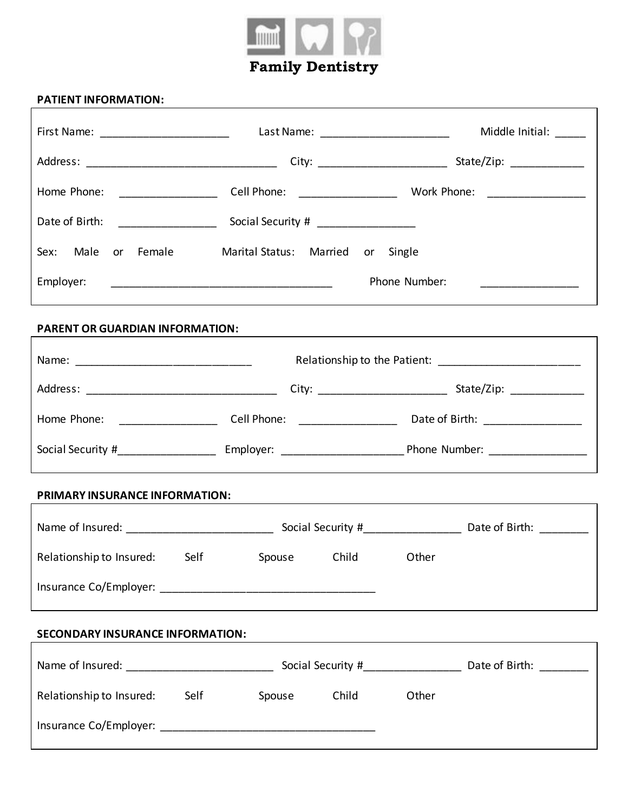

٦

# **PATIENT INFORMATION:**

 $\Gamma$ 

|                                                       |                    | Home Phone: ___________________________Cell Phone: ______________________________ Work Phone: ________________ |  |
|-------------------------------------------------------|--------------------|----------------------------------------------------------------------------------------------------------------|--|
|                                                       |                    |                                                                                                                |  |
| Sex: Male or Female Marital Status: Married or Single |                    |                                                                                                                |  |
| Employer:                                             |                    | Phone Number: ___________________                                                                              |  |
| <b>PARENT OR GUARDIAN INFORMATION:</b>                |                    |                                                                                                                |  |
|                                                       |                    |                                                                                                                |  |
|                                                       |                    |                                                                                                                |  |
|                                                       |                    |                                                                                                                |  |
|                                                       |                    | Social Security #_____________________________Employer: ________________________Phone Number: ________________ |  |
| <b>PRIMARY INSURANCE INFORMATION:</b>                 |                    |                                                                                                                |  |
|                                                       |                    |                                                                                                                |  |
| Relationship to Insured: Self Spouse Child            |                    | Other                                                                                                          |  |
|                                                       |                    |                                                                                                                |  |
| <b>SECONDARY INSURANCE INFORMATION:</b>               |                    |                                                                                                                |  |
|                                                       |                    |                                                                                                                |  |
| Relationship to Insured: Self                         | Spouse Child Other |                                                                                                                |  |
|                                                       |                    |                                                                                                                |  |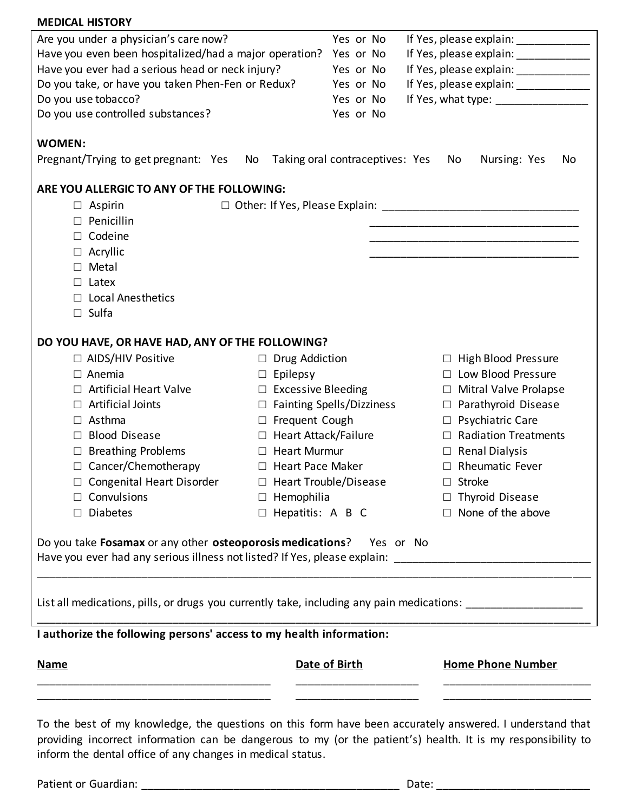| <b>MEDICAL HISTORY</b>                                                                                        |               |                                        |  |  |
|---------------------------------------------------------------------------------------------------------------|---------------|----------------------------------------|--|--|
| Are you under a physician's care now?                                                                         | Yes or No     | If Yes, please explain: ______________ |  |  |
| Have you even been hospitalized/had a major operation?                                                        | Yes or No     | If Yes, please explain: _____________  |  |  |
| Have you ever had a serious head or neck injury?                                                              | Yes or No     | If Yes, please explain: _____________  |  |  |
| Do you take, or have you taken Phen-Fen or Redux?                                                             | Yes or No     | If Yes, please explain: ______________ |  |  |
| Do you use tobacco?                                                                                           | Yes or No     | If Yes, what type: _______________     |  |  |
| Do you use controlled substances?                                                                             | Yes or No     |                                        |  |  |
| <b>WOMEN:</b><br>Pregnant/Trying to get pregnant: Yes<br>No Taking oral contraceptives: Yes                   |               | Nursing: Yes<br>No<br>No               |  |  |
| ARE YOU ALLERGIC TO ANY OF THE FOLLOWING:                                                                     |               |                                        |  |  |
| $\Box$ Aspirin                                                                                                |               |                                        |  |  |
| $\Box$ Penicillin                                                                                             |               |                                        |  |  |
| Codeine<br>$\Box$                                                                                             |               |                                        |  |  |
| $\Box$ Acryllic                                                                                               |               |                                        |  |  |
| $\Box$ Metal                                                                                                  |               |                                        |  |  |
| $\Box$ Latex                                                                                                  |               |                                        |  |  |
| □ Local Anesthetics                                                                                           |               |                                        |  |  |
| $\Box$ Sulfa                                                                                                  |               |                                        |  |  |
|                                                                                                               |               |                                        |  |  |
| DO YOU HAVE, OR HAVE HAD, ANY OF THE FOLLOWING?                                                               |               |                                        |  |  |
| □ AIDS/HIV Positive<br>$\Box$ Drug Addiction                                                                  |               | $\Box$ High Blood Pressure             |  |  |
| $\Box$ Anemia<br>$\Box$ Epilepsy                                                                              |               | □ Low Blood Pressure                   |  |  |
| $\Box$ Artificial Heart Valve<br>$\Box$ Excessive Bleeding                                                    |               | □ Mitral Valve Prolapse                |  |  |
| $\Box$ Artificial Joints<br>$\Box$ Fainting Spells/Dizziness                                                  |               | □ Parathyroid Disease                  |  |  |
| Asthma<br>$\Box$ Frequent Cough<br>$\Box$                                                                     |               | □ Psychiatric Care                     |  |  |
| □ Heart Attack/Failure<br>$\Box$ Blood Disease                                                                |               | $\Box$ Radiation Treatments            |  |  |
| $\Box$ Breathing Problems<br>□ Heart Murmur                                                                   |               | <b>Renal Dialysis</b><br>$\Box$        |  |  |
| $\Box$ Cancer/Chemotherapy<br>$\Box$ Heart Pace Maker                                                         |               | $\Box$ Rheumatic Fever                 |  |  |
| $\Box$ Congenital Heart Disorder<br>□ Heart Trouble/Disease                                                   |               | $\Box$ Stroke                          |  |  |
| Convulsions<br>$\Box$ Hemophilia                                                                              |               | Thyroid Disease                        |  |  |
| $\Box$ Hepatitis: A B C<br>$\Box$ Diabetes                                                                    |               | $\Box$ None of the above               |  |  |
| Do you take Fosamax or any other osteoporosis medications? Yes or No                                          |               |                                        |  |  |
| List all medications, pills, or drugs you currently take, including any pain medications: ___________________ |               |                                        |  |  |
| I authorize the following persons' access to my health information:                                           |               |                                        |  |  |
| <b>Name</b>                                                                                                   | Date of Birth | <b>Home Phone Number</b>               |  |  |
|                                                                                                               |               |                                        |  |  |
|                                                                                                               |               |                                        |  |  |

To the best of my knowledge, the questions on this form have been accurately answered. I understand that providing incorrect information can be dangerous to my (or the patient's) health. It is my responsibility to inform the dental office of any changes in medical status.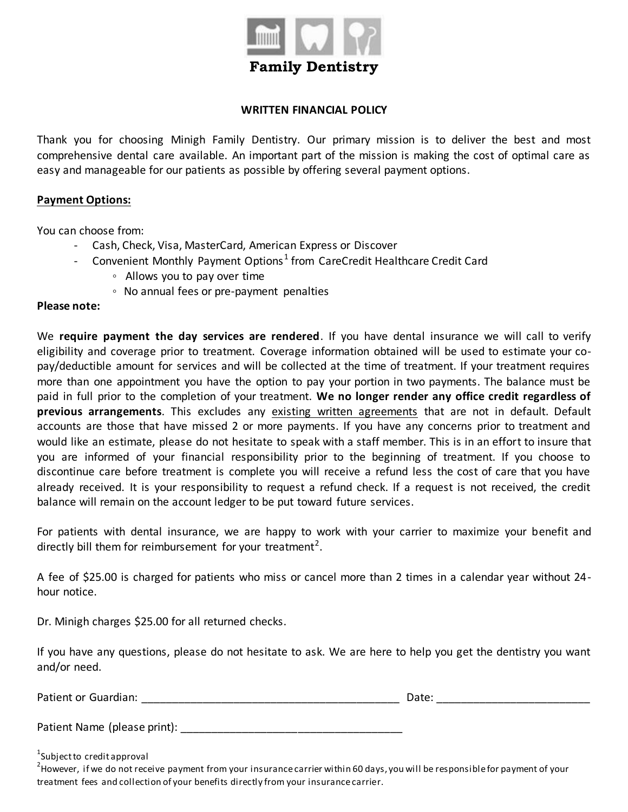

## **WRITTEN FINANCIAL POLICY**

Thank you for choosing Minigh Family Dentistry. Our primary mission is to deliver the best and most comprehensive dental care available. An important part of the mission is making the cost of optimal care as easy and manageable for our patients as possible by offering several payment options.

## **Payment Options:**

You can choose from:

- Cash, Check, Visa, MasterCard, American Express or Discover
- Convenient Monthly Payment Options<sup>1</sup> from CareCredit Healthcare Credit Card
	- Allows you to pay over time
	- No annual fees or pre-payment penalties

## **Please note:**

We **require payment the day services are rendered**. If you have dental insurance we will call to verify eligibility and coverage prior to treatment. Coverage information obtained will be used to estimate your copay/deductible amount for services and will be collected at the time of treatment. If your treatment requires more than one appointment you have the option to pay your portion in two payments. The balance must be paid in full prior to the completion of your treatment. **We no longer render any office credit regardless of previous arrangements**. This excludes any existing written agreements that are not in default. Default accounts are those that have missed 2 or more payments. If you have any concerns prior to treatment and would like an estimate, please do not hesitate to speak with a staff member. This is in an effort to insure that you are informed of your financial responsibility prior to the beginning of treatment. If you choose to discontinue care before treatment is complete you will receive a refund less the cost of care that you have already received. It is your responsibility to request a refund check. If a request is not received, the credit balance will remain on the account ledger to be put toward future services.

For patients with dental insurance, we are happy to work with your carrier to maximize your benefit and directly bill them for reimbursement for your treatment<sup>2</sup>.

A fee of \$25.00 is charged for patients who miss or cancel more than 2 times in a calendar year without 24 hour notice.

Dr. Minigh charges \$25.00 for all returned checks.

If you have any questions, please do not hesitate to ask. We are here to help you get the dentistry you want and/or need.

Patient or Guardian: \_\_\_\_\_\_\_\_\_\_\_\_\_\_\_\_\_\_\_\_\_\_\_\_\_\_\_\_\_\_\_\_\_\_\_\_\_\_\_\_\_\_ Date: \_\_\_\_\_\_\_\_\_\_\_\_\_\_\_\_\_\_\_\_\_\_\_\_\_

Patient Name (please print): \_

 $1$ Subject to credit approval

 $^2$ However, if we do not receive payment from your insurance carrier within 60 days, you will be responsible for payment of your treatment fees and collection of your benefits directly from your insurance carrier.